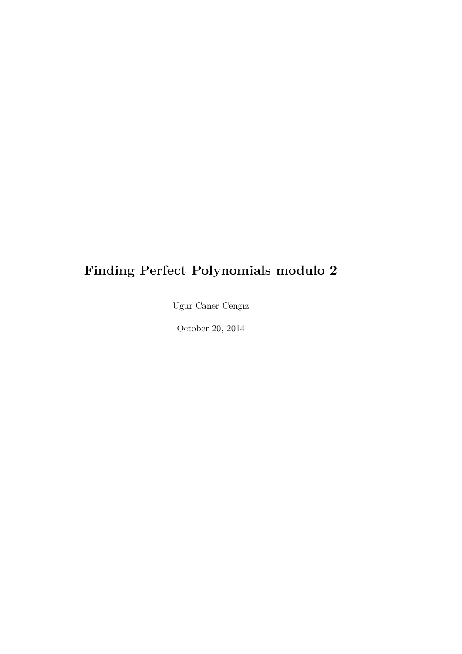## **Finding Perfect Polynomials modulo 2**

Ugur Caner Cengiz

October 20, 2014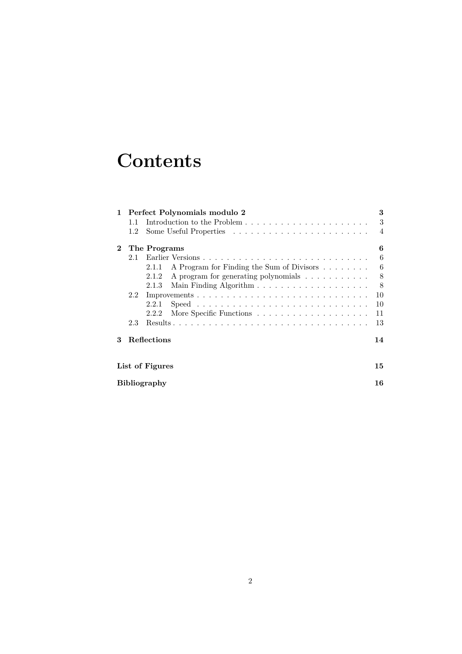## **Contents**

| $\mathbf{1}$ |                     | Perfect Polynomials modulo 2                                                                   | 3              |  |  |
|--------------|---------------------|------------------------------------------------------------------------------------------------|----------------|--|--|
|              | 1.1                 |                                                                                                | 3              |  |  |
|              | 1.2                 |                                                                                                | $\overline{4}$ |  |  |
| $\bf{2}$     |                     | The Programs                                                                                   | 6              |  |  |
|              | 21                  |                                                                                                | 6              |  |  |
|              |                     | A Program for Finding the Sum of Divisors<br>2.1.1                                             | 6              |  |  |
|              |                     | A program for generating polynomials<br>2.1.2                                                  | 8              |  |  |
|              |                     | 2.1.3                                                                                          | 8              |  |  |
|              | 2.2                 |                                                                                                | 10             |  |  |
|              |                     | $Speed \dots \dots \dots \dots \dots \dots \dots \dots \dots \dots \dots \dots \dots$<br>2.2.1 | 10             |  |  |
|              |                     | 2.2.2                                                                                          | 11             |  |  |
|              | 2.3                 |                                                                                                | 13             |  |  |
| 3            |                     | Reflections                                                                                    | 14             |  |  |
|              | List of Figures     |                                                                                                |                |  |  |
|              | <b>Bibliography</b> |                                                                                                |                |  |  |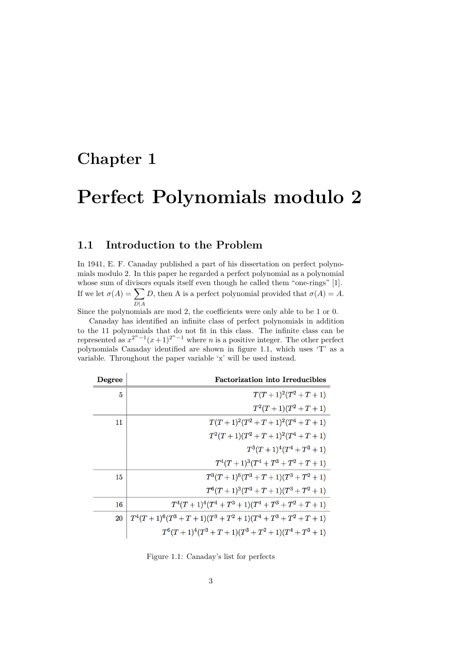## **Chapter 1**

## **Perfect Polynomials modulo 2**

#### **1.1 Introduction to the Problem**

In 1941, E. F. Canaday published a part of his dissertation on perfect polynomials modulo 2. In this paper he regarded a perfect polynomial as a polynomial whose sum of divisors equals itself even though he called them "one-rings" [1]. If we let  $\sigma(A) = \sum$ *D*|*A D*, then A is a perfect polynomial provided that  $\sigma(A) = A$ .

Since the polynomials are mod 2, the coefficients were only able to be 1 or 0.

Canaday has identified an infinite class of perfect polynomials in addition to the 11 polynomials that do not fit in this class. The infinite class can be represented as  $x^{2^n-1}(x+1)^{2^n-1}$  where *n* is a positive integer. The other perfect polynomials Canaday identified are shown in figure 1.1, which uses 'T' as a variable. Throughout the paper variable 'x' will be used instead.

| Degree | <b>Factorization into Irreducibles</b>                    |
|--------|-----------------------------------------------------------|
| 5      | $T(T+1)^2(T^2+T+1)$                                       |
|        | $T^2(T+1)(T^2+T+1)$                                       |
| 11     | $T(T+1)^2(T^2+T+1)^2(T^4+T+1)$                            |
|        | $T^2(T+1)(T^2+T+1)^2(T^4+T+1)$                            |
|        | $T^3(T+1)^4(T^4+T^3+1)$                                   |
|        | $T^4(T+1)^3(T^4+T^3+T^2+T+1)$                             |
| 15     | $T^3(T+1)^6(T^3+T+1)(T^3+T^2+1)$                          |
|        | $T^{6}(T+1)^{3}(T^{3}+T+1)(T^{3}+T^{2}+1)$                |
| 16     | $T^4(T+1)^4(T^4+T^3+1)(T^4+T^3+T^2+T+1)$                  |
| 20     | $T^4(T+1)^6(T^3+T+1)(T^3+T^2+1)(T^4+T^3+T^2+T+1)$         |
|        | $T^{6}(T+1)^{4}(T^{3}+T+1)(T^{3}+T^{2}+1)(T^{4}+T^{3}+1)$ |

Figure 1.1: Canaday's list for perfects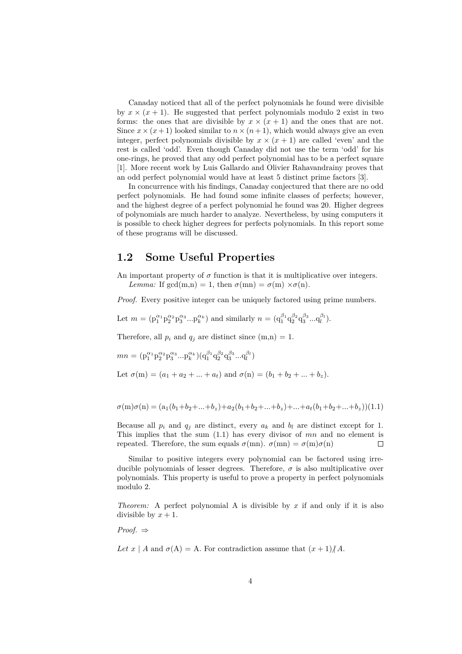Canaday noticed that all of the perfect polynomials he found were divisible by  $x \times (x+1)$ . He suggested that perfect polynomials modulo 2 exist in two forms: the ones that are divisible by  $x \times (x + 1)$  and the ones that are not. Since  $x \times (x+1)$  looked similar to  $n \times (n+1)$ , which would always give an even integer, perfect polynomials divisible by  $x \times (x + 1)$  are called 'even' and the rest is called 'odd'. Even though Canaday did not use the term 'odd' for his one-rings, he proved that any odd perfect polynomial has to be a perfect square [1]. More recent work by Luis Gallardo and Olivier Rahavandrainy proves that an odd perfect polynomial would have at least 5 distinct prime factors [3].

In concurrence with his findings, Canaday conjectured that there are no odd perfect polynomials. He had found some infinite classes of perfects; however, and the highest degree of a perfect polynomial he found was 20. Higher degrees of polynomials are much harder to analyze. Nevertheless, by using computers it is possible to check higher degrees for perfects polynomials. In this report some of these programs will be discussed.

#### **1.2 Some Useful Properties**

An important property of  $\sigma$  function is that it is multiplicative over integers. *Lemma:* If gcd(m,n) = 1, then  $\sigma$ (mn) =  $\sigma$ (m) × $\sigma$ (n).

*Proof.* Every positive integer can be uniquely factored using prime numbers.

Let 
$$
m = (p_1^{\alpha_1} p_2^{\alpha_2} p_3^{\alpha_3} ... p_k^{\alpha_k})
$$
 and similarly  $n = (q_1^{\beta_1} q_2^{\beta_2} q_3^{\beta_3} ... q_l^{\beta_l}).$ 

Therefore, all  $p_i$  and  $q_j$  are distinct since  $(m,n) = 1$ .

$$
mn = (p_1^{\alpha_1} p_2^{\alpha_2} p_3^{\alpha_3} ... p_k^{\alpha_k}) (q_1^{\beta_1} q_2^{\beta_2} q_3^{\beta_3} ... q_l^{\beta_l})
$$
  
Let  $\sigma(m) = (a_1 + a_2 + ... + a_t)$  and  $\sigma(n) = (b_1 + b_2 + ... + b_z)$ .

$$
\sigma(m)\sigma(n) = (a_1(b_1+b_2+\ldots+b_z)+a_2(b_1+b_2+\ldots+b_z)+\ldots+a_t(b_1+b_2+\ldots+b_z))(1.1)
$$

Because all  $p_i$  and  $q_j$  are distinct, every  $a_k$  and  $b_l$  are distinct except for 1. This implies that the sum (1.1) has every divisor of *mn* and no element is repeated. Therefore, the sum equals  $\sigma(mn)$ .  $\sigma(mn) = \sigma(m)\sigma(n)$  $\Box$ 

Similar to positive integers every polynomial can be factored using irreducible polynomials of lesser degrees. Therefore,  $\sigma$  is also multiplicative over polynomials. This property is useful to prove a property in perfect polynomials modulo 2.

*Theorem:* A perfect polynomial A is divisible by *x* if and only if it is also divisible by  $x + 1$ .

*Proof.* ⇒

Let  $x \mid A$  and  $\sigma(A) = A$ . For contradiction assume that  $(x+1)/A$ .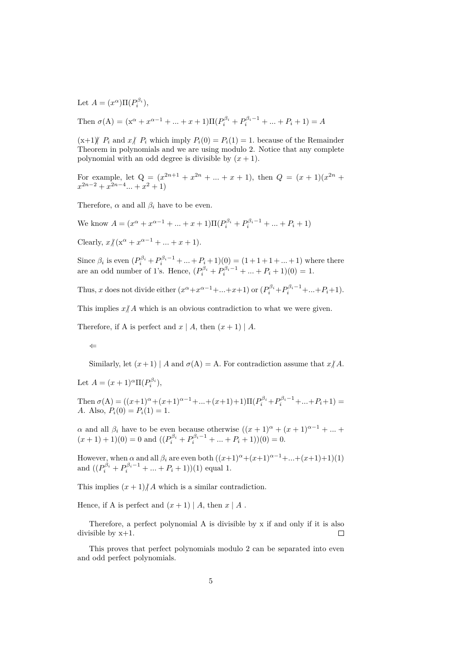Let  $A = (x^{\alpha})\Pi(P_i^{\beta_i}),$ 

Then 
$$
\sigma(A) = (x^{\alpha} + x^{\alpha-1} + ... + x + 1)\Pi(P_i^{\beta_i} + P_i^{\beta_i-1} + ... + P_i + 1) = A
$$

 $(x+1)$   $P_i$  and  $x \nvert P_i$  which imply  $P_i(0) = P_i(1) = 1$ . because of the Remainder Theorem in polynomials and we are using modulo 2. Notice that any complete polynomial with an odd degree is divisible by  $(x + 1)$ .

For example, let  $Q = (x^{2n+1} + x^{2n} + ... + x + 1)$ , then  $Q = (x + 1)(x^{2n} + ... + x^{2n})$  $x^{2n-2} + x^{2n-4}$  *...* +  $x^2$  + 1)

Therefore,  $\alpha$  and all  $\beta_i$  have to be even.

We know  $A = (x^{\alpha} + x^{\alpha-1} + ... + x + 1) \Pi (P_i^{\beta_i} + P_i^{\beta_i-1} + ... + P_i + 1)$ 

Clearly,  $x/(x^{\alpha} + x^{\alpha-1} + ... + x + 1)$ .

Since  $\beta_i$  is even  $(P_i^{\beta_i} + P_i^{\beta_i-1} + ... + P_i + 1)(0) = (1 + 1 + 1 + ... + 1)$  where there are an odd number of 1's. Hence,  $(P_i^{\beta_i} + P_i^{\beta_i-1} + ... + P_i + 1)(0) = 1$ .

Thus, *x* does not divide either  $(x^{\alpha}+x^{\alpha-1}+\ldots+x+1)$  or  $(P_i^{\beta_i}+P_i^{\beta_i-1}+\ldots+P_i+1)$ .

This implies  $x/A$  which is an obvious contradiction to what we were given.

Therefore, if A is perfect and  $x \mid A$ , then  $(x+1) \mid A$ .

$$
\Leftarrow
$$

Similarly, let  $(x+1) | A$  and  $\sigma(A) = A$ . For contradiction assume that  $x \nmid A$ .

Let  $A = (x+1)^{\alpha} \Pi(P_i^{\beta_i}),$ 

Then  $\sigma(A) = ((x+1)^{\alpha} + (x+1)^{\alpha-1} + ... + (x+1)+1)\Pi(P_i^{\beta_i} + P_i^{\beta_i-1} + ... + P_i + 1) =$ *A*. Also,  $P_i(0) = P_i(1) = 1$ .

*α* and all  $β<sub>i</sub>$  have to be even because otherwise  $((x + 1)α + (x + 1)α<sup>-1</sup> + ... +$  $(x+1) + 1(0) = 0$  and  $((P_i^{\beta_i} + P_i^{\beta_i-1} + ... + P_i + 1))(0) = 0.$ 

However, when  $\alpha$  and all  $\beta_i$  are even both  $((x+1)^{\alpha}+(x+1)^{\alpha-1}+\ldots+(x+1)+1)(1)$ and  $((P_i^{\beta_i} + P_i^{\beta_i-1} + ... + P_i + 1))(1)$  equal 1.

This implies  $(x + 1)/A$  which is a similar contradiction.

Hence, if A is perfect and  $(x+1) | A$ , then  $x | A$ .

Therefore, a perfect polynomial A is divisible by x if and only if it is also divisible by x+1.  $\Box$ 

This proves that perfect polynomials modulo 2 can be separated into even and odd perfect polynomials.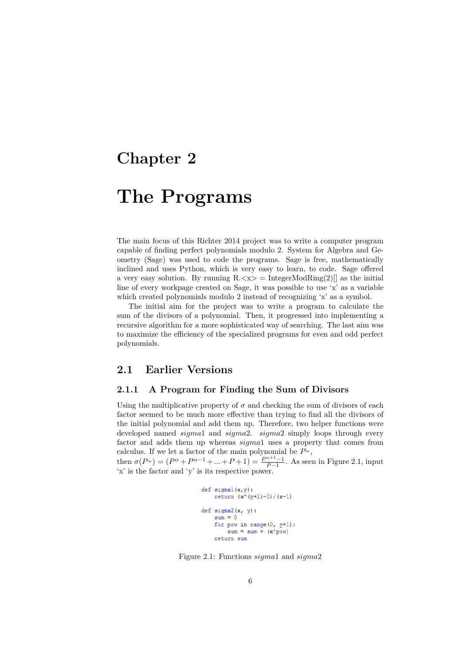### **Chapter 2**

## **The Programs**

The main focus of this Richter 2014 project was to write a computer program capable of finding perfect polynomials modulo 2. System for Algebra and Geometry (Sage) was used to code the programs. Sage is free, mathematically inclined and uses Python, which is very easy to learn, to code. Sage offered a very easy solution. By running  $R \ll x$  = IntegerModRing(2) as the initial line of every workpage created on Sage, it was possible to use 'x' as a variable which created polynomials modulo 2 instead of recognizing 'x' as a symbol.

The initial aim for the project was to write a program to calculate the sum of the divisors of a polynomial. Then, it progressed into implementing a recursive algorithm for a more sophisticated way of searching. The last aim was to maximize the efficiency of the specialized programs for even and odd perfect polynomials.

#### **2.1 Earlier Versions**

#### **2.1.1 A Program for Finding the Sum of Divisors**

Using the multiplicative property of  $\sigma$  and checking the sum of divisors of each factor seemed to be much more effective than trying to find all the divisors of the initial polynomial and add them up. Therefore, two helper functions were developed named *sigma*1 and *sigma*2. *sigma*2 simply loops through every factor and adds them up whereas *sigma*1 uses a property that comes from calculus. If we let a factor of the main polynomial be  $P^{\alpha},$ then  $\sigma(P^{\alpha}) = (P^{\alpha} + P^{\alpha-1} + ... + P + 1) = \frac{P^{\alpha+1}-1}{P-1}$ . As seen in Figure 2.1, input

'x' is the factor and 'y' is its respective power.

```
def sigmal(x, y):
    return (x^{(y+1)-1)/(x-1)}def sigma2(x, y):
    sum = 0for pow in range(0, y+1):
        sum = sum + (x^n pow)return sum
```
Figure 2.1: Functions *sigma*1 and *sigma*2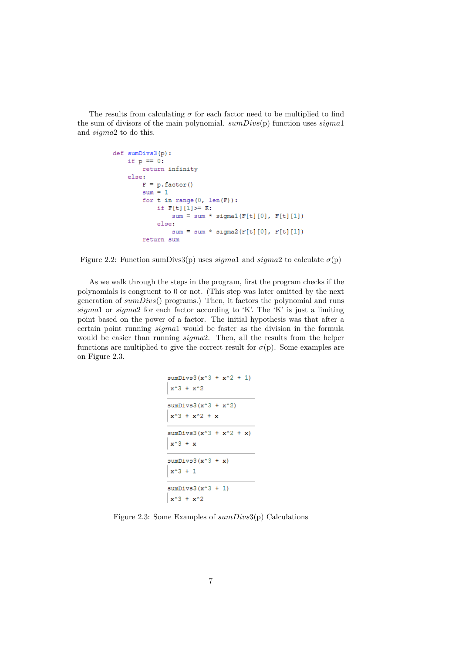The results from calculating  $\sigma$  for each factor need to be multiplied to find the sum of divisors of the main polynomial. *sumDivs*(p) function uses *sigma*1 and *sigma*2 to do this.

```
def sumDivs3(p):
    if p == 0:
        return infinity
    else:
        F = p. factor()
        sum = 1for t in range (0, len(F)):
            if F[t][1] >= K:sum = sum * sigmal(F[t][0], F[t][1])else:
                sum = sum * sigma2(F[t][0], F[t][1])return sum
```
Figure 2.2: Function sumDivs3(p) uses  $sigma1$  and  $sigma2$  to calculate  $\sigma(p)$ 

As we walk through the steps in the program, first the program checks if the polynomials is congruent to 0 or not. (This step was later omitted by the next generation of *sumDivs*() programs.) Then, it factors the polynomial and runs *sigma*1 or *sigma*2 for each factor according to 'K'. The 'K' is just a limiting point based on the power of a factor. The initial hypothesis was that after a certain point running *sigma*1 would be faster as the division in the formula would be easier than running *sigma*2. Then, all the results from the helper functions are multiplied to give the correct result for  $\sigma(p)$ . Some examples are on Figure 2.3.

```
sumDivs3(x^3 + x^2 + 1)x^3 + x^2sumDivs3(x^3 + x^2)x^3 + x^2 + xsumDivs3(x^3 + x^2 + x)x^3 + xsumDivs3(x^3 + x)x^3 + 1sumDivs3(x^3 + 1)x^3 + x^2
```
Figure 2.3: Some Examples of *sumDivs*3(p) Calculations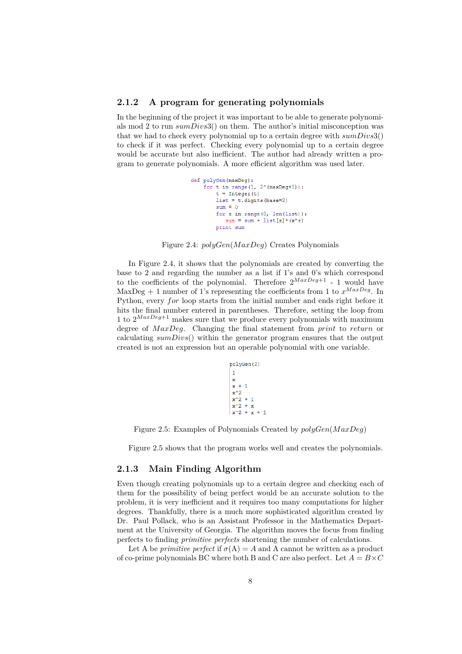#### **2.1.2 A program for generating polynomials**

In the beginning of the project it was important to be able to generate polynomials mod 2 to run *sumDivs*3() on them. The author's initial misconception was that we had to check every polynomial up to a certain degree with *sumDivs*3() to check if it was perfect. Checking every polynomial up to a certain degree would be accurate but also inefficient. The author had already written a program to generate polynomials. A more efficient algorithm was used later.

```
def polyGen(maxDeg):
    for t in range(1, 2^{\wedge}(maxDeg+1)):
        t = Integer(t)list = t.digits(base=2)sum = 0for z in range (0, len(list)):
           sum = sum + list[z] * (x^2)print sum
```
Figure 2.4: *polyGen*(*M axDeg*) Creates Polynomials

In Figure 2.4, it shows that the polynomials are created by converting the base to 2 and regarding the number as a list if 1's and 0's which correspond to the coefficients of the polynomial. Therefore  $2^{MaxDeg+1}$  - 1 would have MaxDeg + 1 number of 1's representing the coefficients from 1 to  $x^{MaxDeg}$ . In Python, every *for* loop starts from the initial number and ends right before it hits the final number entered in parentheses. Therefore, setting the loop from 1 to  $2^{MaxDeg+1}$  makes sure that we produce every polynomials with maximum degree of *M axDeg*. Changing the final statement from *print* to *return* or calculating *sumDivs*() within the generator program ensures that the output created is not an expression but an operable polynomial with one variable.

```
polyGen(2)
\mathbf{1}\mathbf xx + 1x^2x^2 + 1x^2 + x
```
Figure 2.5: Examples of Polynomials Created by *polyGen*(*M axDeg*)

Figure 2.5 shows that the program works well and creates the polynomials.

#### **2.1.3 Main Finding Algorithm**

Even though creating polynomials up to a certain degree and checking each of them for the possibility of being perfect would be an accurate solution to the problem, it is very inefficient and it requires too many computations for higher degrees. Thankfully, there is a much more sophisticated algorithm created by Dr. Paul Pollack, who is an Assistant Professor in the Mathematics Department at the University of Georgia. The algorithm moves the focus from finding perfects to finding *primitive perfects* shortening the number of calculations.

Let A be *primitive perfect* if  $\sigma(A) = A$  and A cannot be written as a product of co-prime polynomials BC where both B and C are also perfect. Let  $A = B \times C$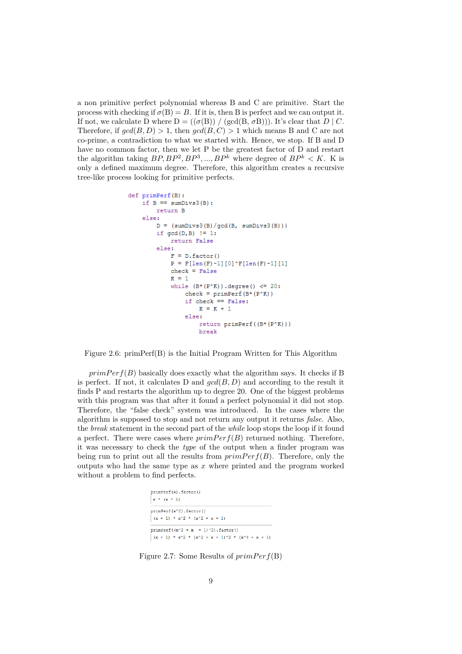a non primitive perfect polynomial whereas B and C are primitive. Start the process with checking if  $\sigma(B) = B$ . If it is, then B is perfect and we can output it. If not, we calculate D where  $D = ((\sigma(B)) / (\text{gcd}(B, \sigma B)))$ . It's clear that  $D \mid C$ . Therefore, if  $gcd(B, D) > 1$ , then  $gcd(B, C) > 1$  which means B and C are not co-prime, a contradiction to what we started with. Hence, we stop. If B and D have no common factor, then we let P be the greatest factor of D and restart the algorithm taking  $BP, BP^2, BP^3, ..., BP^k$  where degree of  $BP^k < K$ . K is only a defined maximum degree. Therefore, this algorithm creates a recursive tree-like process looking for primitive perfects.

```
def primPerf(B):
    if B == sumDivs3(B):
        return B
    else:
        D = (sumDivs3(B)/gcd(B, sumDivs3(B)))if gcd(D, B) != 1:
            return False
        else:
            F = D, factor()
             P = F[len(F)-1][0]<sup>*</sup>F[len(F)-1][1]check = False\mathbf{R} = 1while (B*(P^*K)). degree () <= 20:
                 check = primeF (B* (P^K))
                 if check == False:
                     K = K + 1else:
                     return primPerf((B*(P^K)))
                     break
```
Figure 2.6: primPerf(B) is the Initial Program Written for This Algorithm

 $primPerf(B)$  basically does exactly what the algorithm says. It checks if B is perfect. If not, it calculates D and  $gcd(B, D)$  and according to the result it finds P and restarts the algorithm up to degree 20. One of the biggest problems with this program was that after it found a perfect polynomial it did not stop. Therefore, the "false check" system was introduced. In the cases where the algorithm is supposed to stop and not return any output it returns *false*. Also, the *break* statement in the second part of the *while* loop stops the loop if it found a perfect. There were cases where  $primPerf(B)$  returned nothing. Therefore, it was necessary to check the *type* of the output when a finder program was being run to print out all the results from  $primPerf(B)$ . Therefore, only the outputs who had the same type as *x* where printed and the program worked without a problem to find perfects.

```
primPerf(x).factor()
x * (x + 1)primPerf(x^2).factor()
(x + 1) * x^2 * (x^2 + x + 1)primPerf((x^2 + x + 1)^2) . factor()(x + 1) * x^2 * (x^2 + x + 1)^2 * (x^4 + x + 1)
```
Figure 2.7: Some Results of  $primPerf(B)$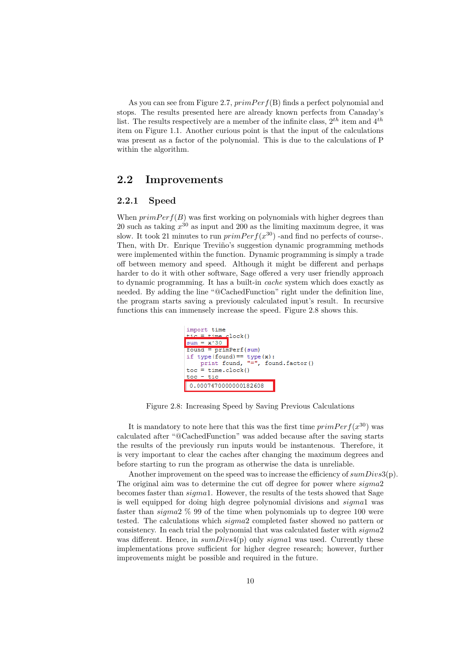As you can see from Figure 2.7,  $primPerf(B)$  finds a perfect polynomial and stops. The results presented here are already known perfects from Canaday's list. The results respectively are a member of the infinite class,  $2^{th}$  item and  $4^{th}$ item on Figure 1.1. Another curious point is that the input of the calculations was present as a factor of the polynomial. This is due to the calculations of P within the algorithm.

#### **2.2 Improvements**

#### **2.2.1 Speed**

When  $primPerf(B)$  was first working on polynomials with higher degrees than 20 such as taking *x* <sup>30</sup> as input and 200 as the limiting maximum degree, it was slow. It took 21 minutes to run  $primPerf(x^{30})$  -and find no perfects of course-. Then, with Dr. Enrique Treviño's suggestion dynamic programming methods were implemented within the function. Dynamic programming is simply a trade off between memory and speed. Although it might be different and perhaps harder to do it with other software, Sage offered a very user friendly approach to dynamic programming. It has a built-in *cache* system which does exactly as needed. By adding the line "@CachedFunction" right under the definition line, the program starts saving a previously calculated input's result. In recursive functions this can immensely increase the speed. Figure 2.8 shows this.



Figure 2.8: Increasing Speed by Saving Previous Calculations

It is mandatory to note here that this was the first time  $primPerf(x^{30})$  was calculated after "@CachedFunction" was added because after the saving starts the results of the previously run inputs would be instantenous. Therefore, it is very important to clear the caches after changing the maximum degrees and before starting to run the program as otherwise the data is unreliable.

Another improvement on the speed was to increase the efficiency of *sumDivs*3(p). The original aim was to determine the cut off degree for power where *sigma*2 becomes faster than *sigma*1. However, the results of the tests showed that Sage is well equipped for doing high degree polynomial divisions and *sigma*1 was faster than *sigma*2 % 99 of the time when polynomials up to degree 100 were tested. The calculations which *sigma*2 completed faster showed no pattern or consistency. In each trial the polynomial that was calculated faster with *sigma*2 was different. Hence, in *sumDivs*4(p) only *sigma*1 was used. Currently these implementations prove sufficient for higher degree research; however, further improvements might be possible and required in the future.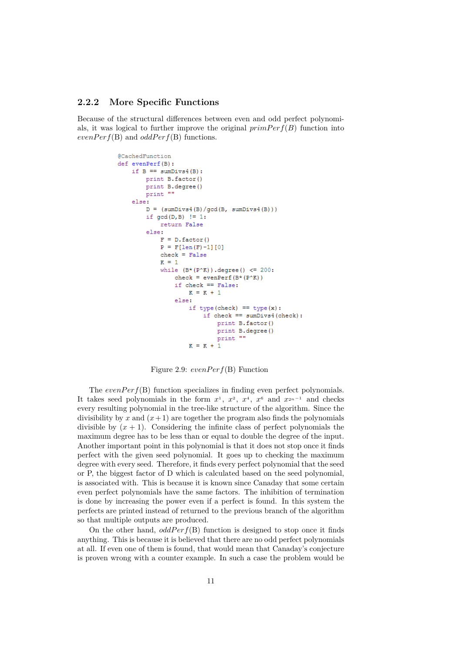#### **2.2.2 More Specific Functions**

Because of the structural differences between even and odd perfect polynomials, it was logical to further improve the original  $primPerf(B)$  function into  $evenPerf(B)$  and  $oddPerf(B)$  functions.

```
@CachedFunction
def evenPerf(B):
    if B == sumDivs4(B):
       print B.factor()
        print B.degree()
       print ""
    else:
        D = (sumDivs4(B)/gcd(B, sumDivs4(B)))if gcd(D, B) != 1:
           return False
        else:
            F = D. factor()
            P = F[len(F)-1][0]check = FalseR = 1while (B*(P^*K)). degree () <= 200:
                check = evenPerf(B*(P(K)))
                if check == False:
                    K = K + 1else:
                    if type(check) == type(x):
                        if check == sumDivs4(check):
                            print B.factor()
                             print B.degree()
                            print ""
                    K = K + 1
```
Figure 2.9:  $evenPerf(B)$  Function

The  $evenPerf(B)$  function specializes in finding even perfect polynomials. It takes seed polynomials in the form  $x^1$ ,  $x^2$ ,  $x^4$ ,  $x^6$  and  $x^{2n-1}$  and checks every resulting polynomial in the tree-like structure of the algorithm. Since the divisibility by x and  $(x+1)$  are together the program also finds the polynomials divisible by  $(x + 1)$ . Considering the infinite class of perfect polynomials the maximum degree has to be less than or equal to double the degree of the input. Another important point in this polynomial is that it does not stop once it finds perfect with the given seed polynomial. It goes up to checking the maximum degree with every seed. Therefore, it finds every perfect polynomial that the seed or P, the biggest factor of D which is calculated based on the seed polynomial, is associated with. This is because it is known since Canaday that some certain even perfect polynomials have the same factors. The inhibition of termination is done by increasing the power even if a perfect is found. In this system the perfects are printed instead of returned to the previous branch of the algorithm so that multiple outputs are produced.

On the other hand,  $oddPerf(B)$  function is designed to stop once it finds anything. This is because it is believed that there are no odd perfect polynomials at all. If even one of them is found, that would mean that Canaday's conjecture is proven wrong with a counter example. In such a case the problem would be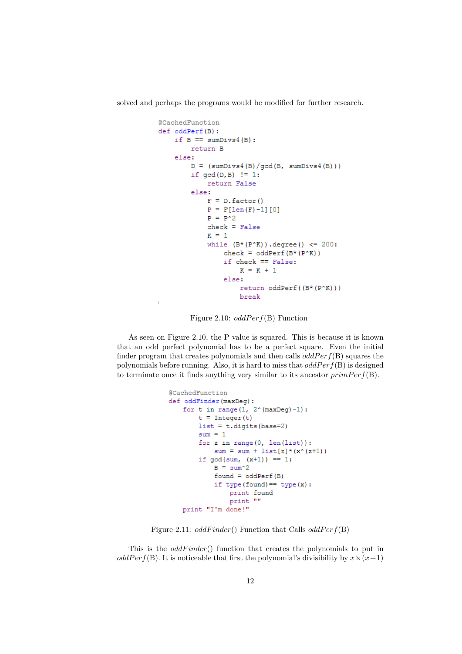solved and perhaps the programs would be modified for further research.

```
@CachedFunction
def oddPerf(B):
    if B == sumDivs4(B):
        return B
    else:
        D = (sumDivs4(B)/gcd(B, sumDivs4(B)))if gcd(D, B) != 1:
            return False
        else:
            F = D. factor()
            P = F[len(F)-1][0]P = P^2check = FalseR = 1while (B*(P^*K)). degree() <= 200:
                check = odderf(B*(P^*K))if check == False:
                    K = K + 1else:
                    return oddPerf((B*(P^K)))
                    break
```
Figure 2.10:  $oddPerf(B)$  Function

 $\bar{f}$ 

As seen on Figure 2.10, the P value is squared. This is because it is known that an odd perfect polynomial has to be a perfect square. Even the initial finder program that creates polynomials and then calls  $oddPerf(B)$  squares the polynomials before running. Also, it is hard to miss that *oddP erf*(B) is designed to terminate once it finds anything very similar to its ancestor  $primPerf(B)$ .

```
@CachedFunction
def oddFinder(maxDeg):
   for t in range (1, 2^{\wedge} (maxDeg)-1):
        t = Integer(t)list = t.digits(base=2)sum = 1for z in range(0, len(list)):
           sum = sum + list[z] * (x^(z+1))if gcd(sum, (x+1)) == 1:
            B = sum^2found = oddPerf(B)if type (found) == type(x):
                print found
                print ""
   print "I'm done!"
```
Figure 2.11: *oddFinder*() Function that Calls *oddPerf*(B)

This is the *oddFinder*() function that creates the polynomials to put in *oddPer*  $f(B)$ . It is noticeable that first the polynomial's divisibility by  $x \times (x+1)$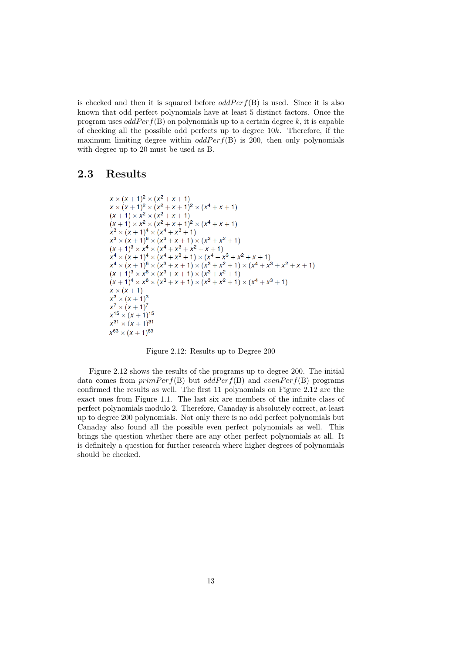is checked and then it is squared before  $oddPerf(B)$  is used. Since it is also known that odd perfect polynomials have at least 5 distinct factors. Once the program uses  $oddPerf(B)$  on polynomials up to a certain degree k, it is capable of checking all the possible odd perfects up to degree 10*k*. Therefore, if the maximum limiting degree within  $oddPerf(B)$  is 200, then only polynomials with degree up to 20 must be used as B.

#### **2.3 Results**

$$
x \times (x + 1)^2 \times (x^2 + x + 1)
$$
  
\n
$$
x \times (x + 1)^2 \times (x^2 + x + 1)^2 \times (x^4 + x + 1)
$$
  
\n
$$
(x + 1) \times x^2 \times (x^2 + x + 1)
$$
  
\n
$$
(x + 1) \times x^2 \times (x^2 + x + 1)^2 \times (x^4 + x + 1)
$$
  
\n
$$
x^3 \times (x + 1)^4 \times (x^4 + x^3 + 1)
$$
  
\n
$$
x^3 \times (x + 1)^6 \times (x^3 + x + 1) \times (x^3 + x^2 + 1)
$$
  
\n
$$
(x + 1)^3 \times x^4 \times (x^4 + x^3 + x^2 + x + 1)
$$
  
\n
$$
x^4 \times (x + 1)^4 \times (x^4 + x^3 + 1) \times (x^4 + x^3 + x^2 + x + 1)
$$
  
\n
$$
x^4 \times (x + 1)^6 \times (x^3 + x + 1) \times (x^3 + x^2 + 1) \times (x^4 + x^3 + x^2 + x + 1)
$$
  
\n
$$
(x + 1)^3 \times x^6 \times (x^3 + x + 1) \times (x^3 + x^2 + 1)
$$
  
\n
$$
(x + 1)^4 \times x^6 \times (x^3 + x + 1) \times (x^3 + x^2 + 1) \times (x^4 + x^3 + 1)
$$
  
\n
$$
x \times (x + 1)
$$
  
\n
$$
x^3 \times (x + 1)^3
$$
  
\n
$$
x^7 \times (x + 1)^7
$$
  
\n
$$
x^{15} \times (x + 1)^{15}
$$
  
\n
$$
x^{31} \times (x + 1)^{31}
$$
  
\n
$$
x^{63} \times (x + 1)^{63}
$$

Figure 2.12: Results up to Degree 200

Figure 2.12 shows the results of the programs up to degree 200. The initial data comes from  $primPerf(B)$  but  $oddPerf(B)$  and  $evenPerf(B)$  programs confirmed the results as well. The first 11 polynomials on Figure 2.12 are the exact ones from Figure 1.1. The last six are members of the infinite class of perfect polynomials modulo 2. Therefore, Canaday is absolutely correct, at least up to degree 200 polynomials. Not only there is no odd perfect polynomials but Canaday also found all the possible even perfect polynomials as well. This brings the question whether there are any other perfect polynomials at all. It is definitely a question for further research where higher degrees of polynomials should be checked.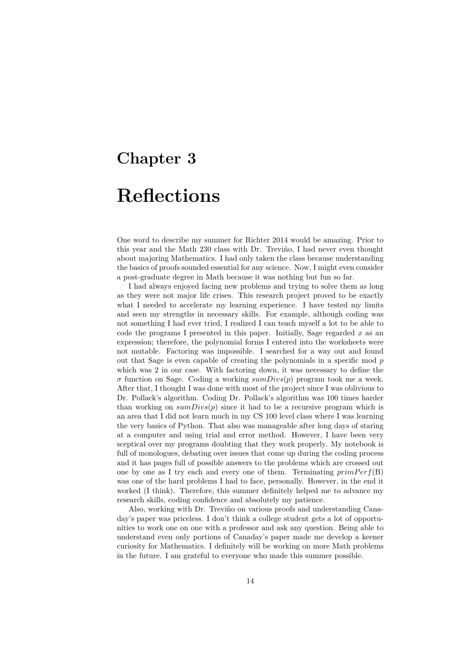# **Chapter 3**

## **Reflections**

One word to describe my summer for Richter 2014 would be amazing. Prior to this year and the Math 230 class with Dr. Treviño, I had never even thought about majoring Mathematics. I had only taken the class because understanding the basics of proofs sounded essential for any science. Now, I might even consider a post-graduate degree in Math because it was nothing but fun so far.

I had always enjoyed facing new problems and trying to solve them as long as they were not major life crises. This research project proved to be exactly what I needed to accelerate my learning experience. I have tested my limits and seen my strengths in necessary skills. For example, although coding was not something I had ever tried, I realized I can teach myself a lot to be able to code the programs I presented in this paper. Initially, Sage regarded *x* as an expression; therefore, the polynomial forms I entered into the worksheets were not mutable. Factoring was impossible. I searched for a way out and found out that Sage is even capable of creating the polynomials in a specific mod *p* which was 2 in our case. With factoring down, it was necessary to define the *σ* function on Sage. Coding a working *sumDivs*(*p*) program took me a week. After that, I thought I was done with most of the project since I was oblivious to Dr. Pollack's algorithm. Coding Dr. Pollack's algorithm was 100 times harder than working on  $sumDivs(p)$  since it had to be a recursive program which is an area that I did not learn much in my CS 100 level class where I was learning the very basics of Python. That also was manageable after long days of staring at a computer and using trial and error method. However, I have been very sceptical over my programs doubting that they work properly. My notebook is full of monologues, debating over issues that come up during the coding process and it has pages full of possible answers to the problems which are crossed out one by one as I try each and every one of them. Terminating  $primPerf(B)$ was one of the hard problems I had to face, personally. However, in the end it worked (I think). Therefore, this summer definitely helped me to advance my research skills, coding confidence and absolutely my patience.

Also, working with Dr. Treviño on various proofs and understanding Canaday's paper was priceless. I don't think a college student gets a lot of opportunities to work one on one with a professor and ask any question. Being able to understand even only portions of Canaday's paper made me develop a keener curiosity for Mathematics. I definitely will be working on more Math problems in the future. I am grateful to everyone who made this summer possible.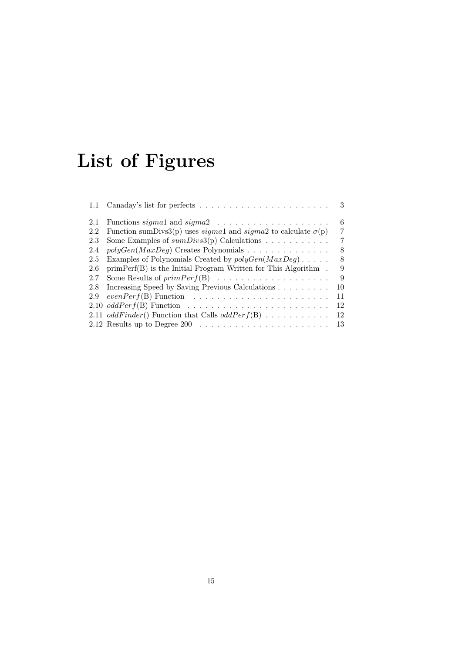# **List of Figures**

|     |                                                                                    | $\overline{\phantom{a}3}$ |
|-----|------------------------------------------------------------------------------------|---------------------------|
| 2.1 |                                                                                    | 6                         |
| 2.2 | Function sumDivs3(p) uses <i>sigmal</i> and <i>sigmal</i> to calculate $\sigma(p)$ | 7                         |
| 2.3 | Some Examples of $sumDivs3(p)$ Calculations                                        | 7                         |
| 2.4 | $polyGen(MaxDeg)$ Creates Polynomials                                              | 8                         |
| 2.5 | Examples of Polynomials Created by $polyGen(MaxDeg) \dots$ .                       | 8                         |
| 2.6 | $primPerf(B)$ is the Initial Program Written for This Algorithm.                   | 9                         |
| 2.7 |                                                                                    | 9                         |
| 2.8 | Increasing Speed by Saving Previous Calculations                                   | 10                        |
| 2.9 | $evenPerf(B)$ Function $\ldots \ldots \ldots \ldots \ldots \ldots \ldots$          | 11                        |
|     |                                                                                    | 12                        |
|     | 2.11 oddFinder() Function that Calls oddPerf(B)                                    | 12                        |
|     |                                                                                    | 13                        |
|     |                                                                                    |                           |